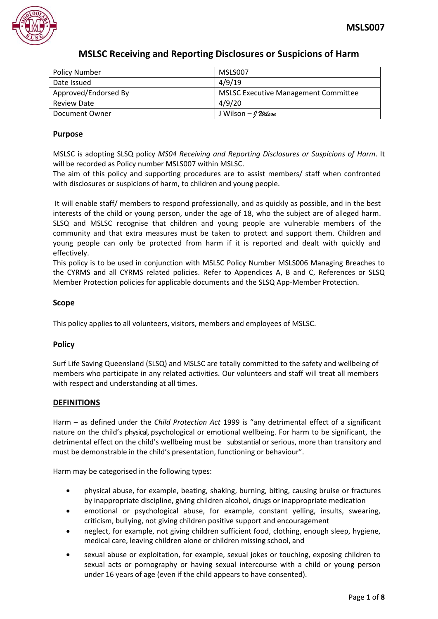

| <b>Policy Number</b> | MSLS007                                     |
|----------------------|---------------------------------------------|
| Date Issued          | 4/9/19                                      |
| Approved/Endorsed By | <b>MSLSC Executive Management Committee</b> |
| <b>Review Date</b>   | 4/9/20                                      |
| Document Owner       | J Wilson – <i>I Wilson</i>                  |

# **Purpose**

MSLSC is adopting SLSQ policy *MS04 Receiving and Reporting Disclosures or Suspicions of Harm*. It will be recorded as Policy number MSLS007 within MSLSC.

The aim of this policy and supporting procedures are to assist members/ staff when confronted with disclosures or suspicions of harm, to children and young people.

It will enable staff/ members to respond professionally, and as quickly as possible, and in the best interests of the child or young person, under the age of 18, who the subject are of alleged harm. SLSQ and MSLSC recognise that children and young people are vulnerable members of the community and that extra measures must be taken to protect and support them. Children and young people can only be protected from harm if it is reported and dealt with quickly and effectively.

This policy is to be used in conjunction with MSLSC Policy Number MSLS006 Managing Breaches to the CYRMS and all CYRMS related policies. Refer to Appendices A, B and C, References or SLSQ Member Protection policies for applicable documents and the SLSQ App-Member Protection.

## **Scope**

This policy applies to all volunteers, visitors, members and employees of MSLSC.

## **Policy**

Surf Life Saving Queensland (SLSQ) and MSLSC are totally committed to the safety and wellbeing of members who participate in any related activities. Our volunteers and staff will treat all members with respect and understanding at all times.

## **DEFINITIONS**

Harm – as defined under the *Child Protection Act* 1999 is "any detrimental effect of a significant nature on the child's physical, psychological or emotional wellbeing. For harm to be significant, the detrimental effect on the child's wellbeing must be substantial or serious, more than transitory and must be demonstrable in the child's presentation, functioning or behaviour".

Harm may be categorised in the following types:

- physical abuse, for example, beating, shaking, burning, biting, causing bruise or fractures by inappropriate discipline, giving children alcohol, drugs or inappropriate medication
- emotional or psychological abuse, for example, constant yelling, insults, swearing, criticism, bullying, not giving children positive support and encouragement
- neglect, for example, not giving children sufficient food, clothing, enough sleep, hygiene, medical care, leaving children alone or children missing school, and
- sexual abuse or exploitation, for example, sexual jokes or touching, exposing children to sexual acts or pornography or having sexual intercourse with a child or young person under 16 years of age (even if the child appears to have consented).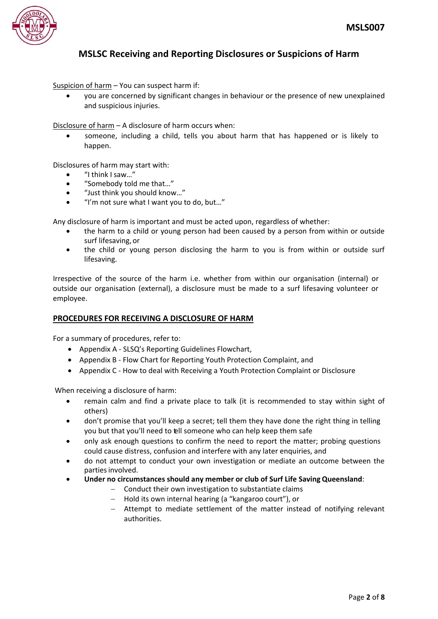

Suspicion of harm – You can suspect harm if:

 you are concerned by significant changes in behaviour or the presence of new unexplained and suspicious injuries.

Disclosure of harm – A disclosure of harm occurs when:

 someone, including a child, tells you about harm that has happened or is likely to happen.

Disclosures of harm may start with:

- "I think I saw…"
- "Somebody told me that…"
- "Just think you should know…"
- "I'm not sure what I want you to do, but…"

Any disclosure of harm is important and must be acted upon, regardless of whether:

- the harm to a child or young person had been caused by a person from within or outside surf lifesaving, or
- the child or young person disclosing the harm to you is from within or outside surf lifesaving.

Irrespective of the source of the harm i.e. whether from within our organisation (internal) or outside our organisation (external), a disclosure must be made to a surf lifesaving volunteer or employee.

## **PROCEDURES FOR RECEIVING A DISCLOSURE OF HARM**

For a summary of procedures, refer to:

- Appendix A SLSQ's Reporting Guidelines Flowchart,
- Appendix B Flow Chart for Reporting Youth Protection Complaint, and
- Appendix C How to deal with Receiving a Youth Protection Complaint or Disclosure

When receiving a disclosure of harm:

- remain calm and find a private place to talk (it is recommended to stay within sight of others)
- don't promise that you'll keep a secret; tell them they have done the right thing in telling you but that you'll need to tell someone who can help keep them safe
- only ask enough questions to confirm the need to report the matter; probing questions could cause distress, confusion and interfere with any later enquiries, and
- do not attempt to conduct your own investigation or mediate an outcome between the parties involved.
- **Under no circumstances should any member or club of Surf Life Saving Queensland**:
	- $-$  Conduct their own investigation to substantiate claims
	- Hold its own internal hearing (a "kangaroo court"), or
	- Attempt to mediate settlement of the matter instead of notifying relevant authorities.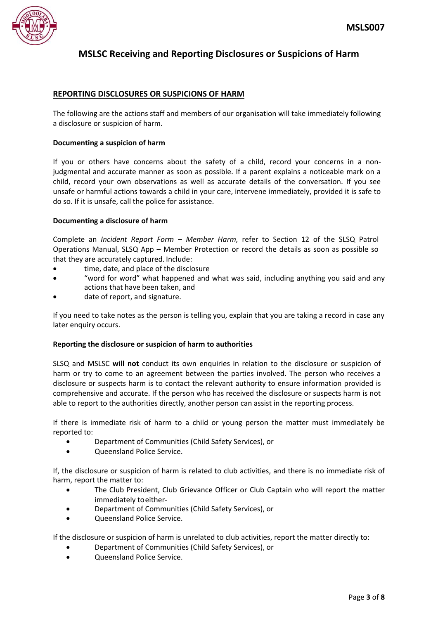

## **REPORTING DISCLOSURES OR SUSPICIONS OF HARM**

The following are the actions staff and members of our organisation will take immediately following a disclosure or suspicion of harm.

#### **Documenting a suspicion of harm**

If you or others have concerns about the safety of a child, record your concerns in a nonjudgmental and accurate manner as soon as possible. If a parent explains a noticeable mark on a child, record your own observations as well as accurate details of the conversation. If you see unsafe or harmful actions towards a child in your care, intervene immediately, provided it is safe to do so. If it is unsafe, call the police for assistance.

#### **Documenting a disclosure of harm**

Complete an *Incident Report Form – Member Harm,* refer to Section 12 of the SLSQ Patrol Operations Manual, SLSQ App – Member Protection or record the details as soon as possible so that they are accurately captured. Include:

- time, date, and place of the disclosure
- "word for word" what happened and what was said, including anything you said and any actions that have been taken, and
- date of report, and signature.

If you need to take notes as the person is telling you, explain that you are taking a record in case any later enquiry occurs.

#### **Reporting the disclosure or suspicion of harm to authorities**

SLSQ and MSLSC **will not** conduct its own enquiries in relation to the disclosure or suspicion of harm or try to come to an agreement between the parties involved. The person who receives a disclosure or suspects harm is to contact the relevant authority to ensure information provided is comprehensive and accurate. If the person who has received the disclosure or suspects harm is not able to report to the authorities directly, another person can assist in the reporting process.

If there is immediate risk of harm to a child or young person the matter must immediately be reported to:

- Department of Communities (Child Safety Services), or
- Queensland Police Service.

If, the disclosure or suspicion of harm is related to club activities, and there is no immediate risk of harm, report the matter to:

- The Club President, Club Grievance Officer or Club Captain who will report the matter immediately toeither-
- Department of Communities (Child Safety Services), or
- Queensland Police Service.

If the disclosure or suspicion of harm is unrelated to club activities, report the matter directly to:

- Department of Communities (Child Safety Services), or
- Queensland Police Service.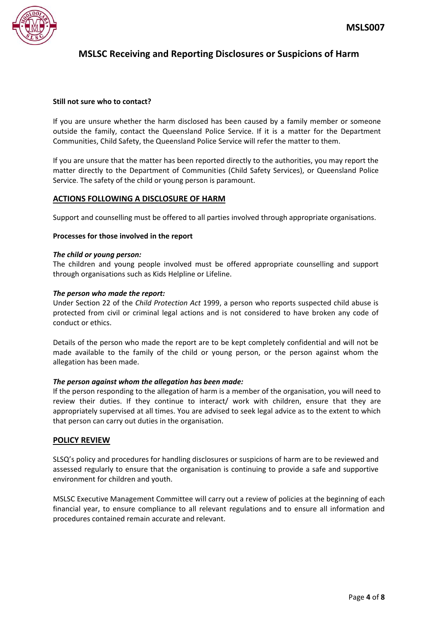

#### **Still not sure who to contact?**

If you are unsure whether the harm disclosed has been caused by a family member or someone outside the family, contact the Queensland Police Service. If it is a matter for the Department Communities, Child Safety, the Queensland Police Service will refer the matter to them.

If you are unsure that the matter has been reported directly to the authorities, you may report the matter directly to the Department of Communities (Child Safety Services), or Queensland Police Service. The safety of the child or young person is paramount.

## **ACTIONS FOLLOWING A DISCLOSURE OF HARM**

Support and counselling must be offered to all parties involved through appropriate organisations.

#### **Processes for those involved in the report**

#### *The child or young person:*

The children and young people involved must be offered appropriate counselling and support through organisations such as Kids Helpline or Lifeline.

#### *The person who made the report:*

Under Section 22 of the *Child Protection Act* 1999, a person who reports suspected child abuse is protected from civil or criminal legal actions and is not considered to have broken any code of conduct or ethics.

Details of the person who made the report are to be kept completely confidential and will not be made available to the family of the child or young person, or the person against whom the allegation has been made.

#### *The person against whom the allegation has been made:*

If the person responding to the allegation of harm is a member of the organisation, you will need to review their duties. If they continue to interact/ work with children, ensure that they are appropriately supervised at all times. You are advised to seek legal advice as to the extent to which that person can carry out duties in the organisation.

## **POLICY REVIEW**

SLSQ's policy and procedures for handling disclosures or suspicions of harm are to be reviewed and assessed regularly to ensure that the organisation is continuing to provide a safe and supportive environment for children and youth.

MSLSC Executive Management Committee will carry out a review of policies at the beginning of each financial year, to ensure compliance to all relevant regulations and to ensure all information and procedures contained remain accurate and relevant.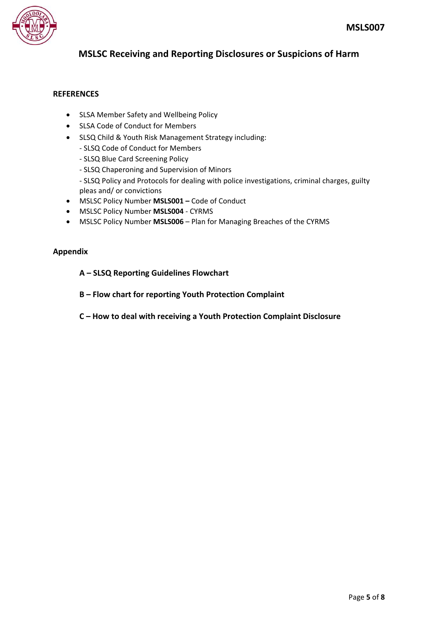

# **REFERENCES**

- SLSA Member Safety and Wellbeing Policy
- SLSA Code of Conduct for Members
- SLSQ Child & Youth Risk Management Strategy including:
	- SLSQ Code of Conduct for Members
	- SLSQ Blue Card Screening Policy
	- SLSQ Chaperoning and Supervision of Minors
	- SLSQ Policy and Protocols for dealing with police investigations, criminal charges, guilty pleas and/ or convictions
- MSLSC Policy Number **MSLS001 –** Code of Conduct
- MSLSC Policy Number **MSLS004** CYRMS
- MSLSC Policy Number **MSLS006** Plan for Managing Breaches of the CYRMS

# **Appendix**

## **A – SLSQ Reporting Guidelines Flowchart**

- **B – Flow chart for reporting Youth Protection Complaint**
- **C – How to deal with receiving a Youth Protection Complaint Disclosure**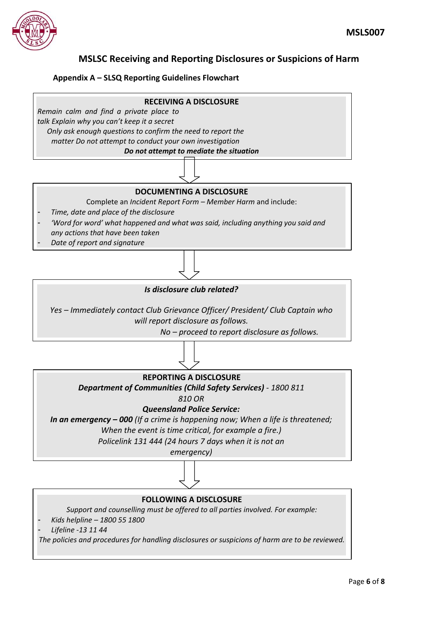

# **Appendix A – SLSQ Reporting Guidelines Flowchart**



# *Is disclosure club related?*

*Yes – Immediately contact Club Grievance Officer/ President/ Club Captain who will report disclosure as follows.*

*No – proceed to report disclosure as follows.*



*Support and counselling must be offered to all parties involved. For example:*

- *Kids helpline – 1800 55 1800*
- *Lifeline -13 11 44*

*The policies and procedures for handling disclosures or suspicions of harm are to be reviewed.*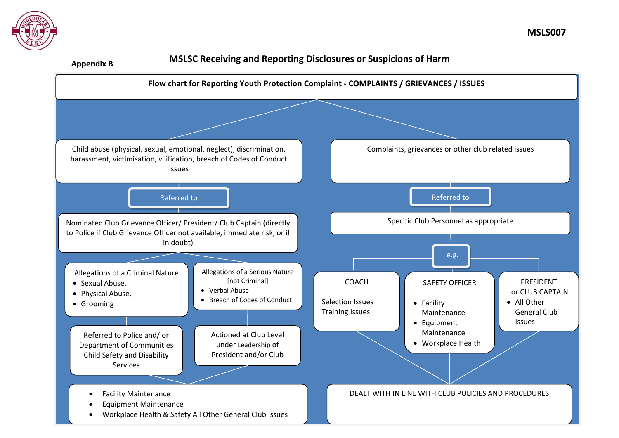